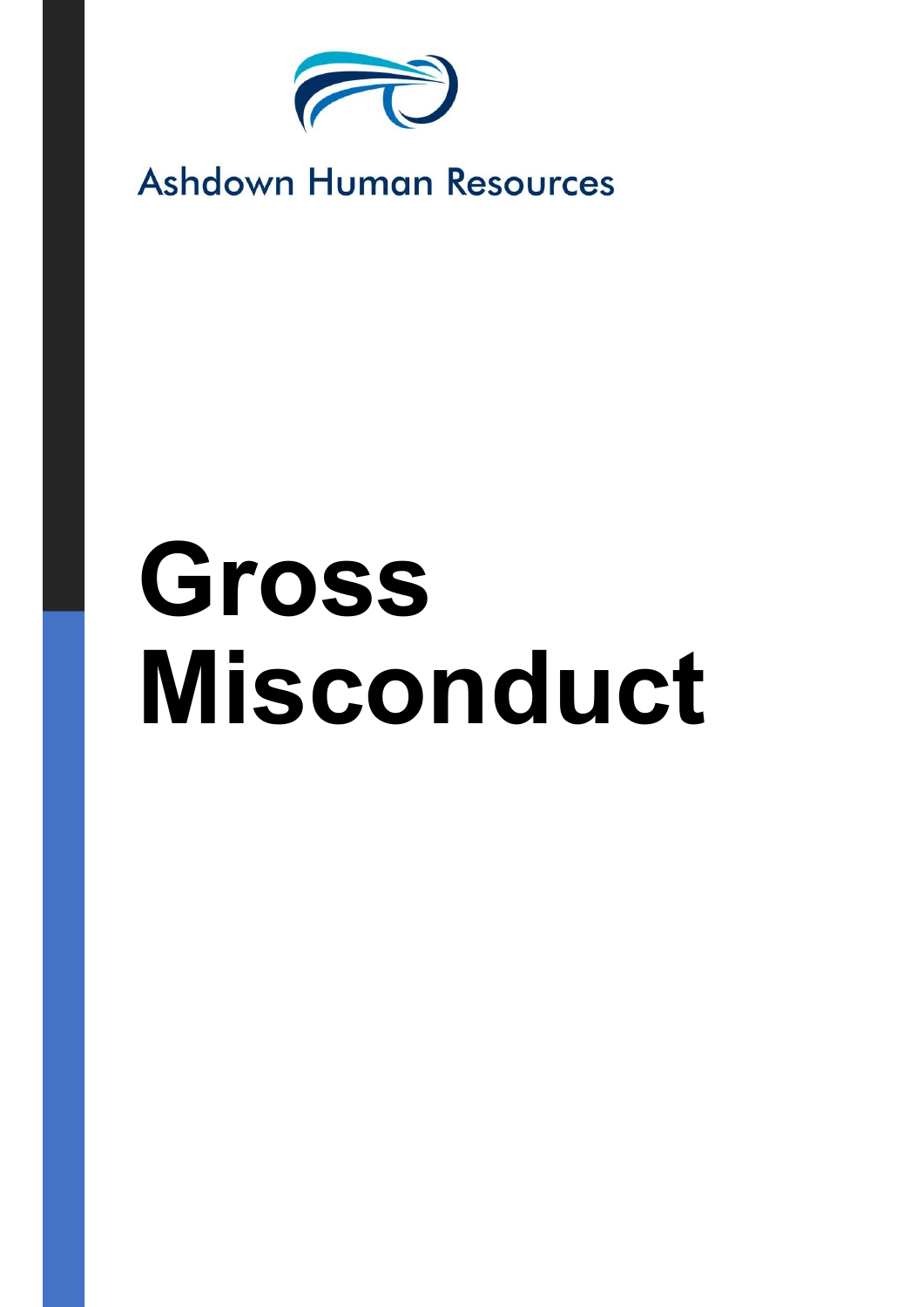

## **Ashdown Human Resources**

# Gross Misconduct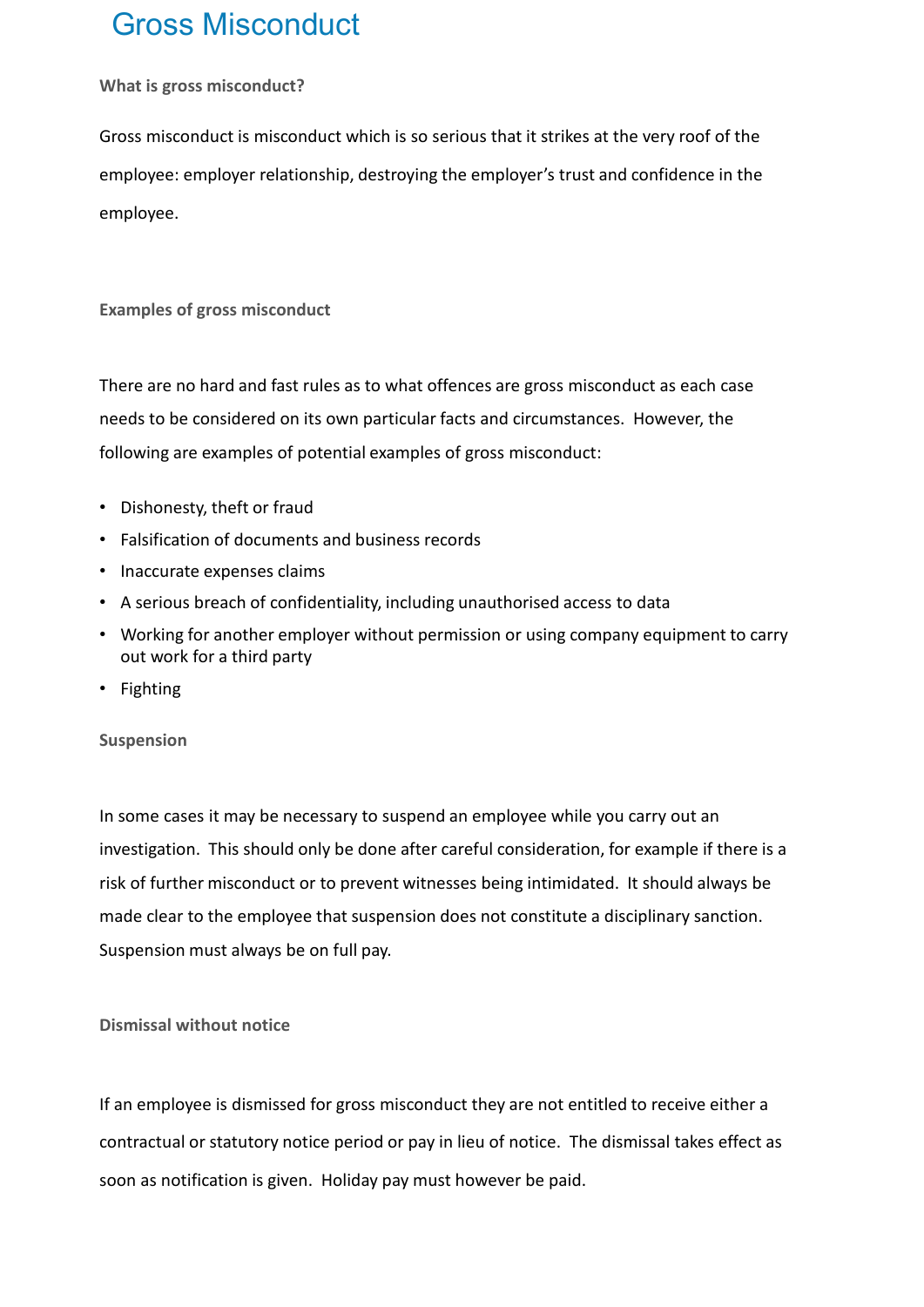### Gross Misconduct

#### What is gross misconduct?

Gross misconduct is misconduct which is so serious that it strikes at the very roof of the employee: employer relationship, destroying the employer's trust and confidence in the employee.

Examples of gross misconduct

There are no hard and fast rules as to what offences are gross misconduct as each case needs to be considered on its own particular facts and circumstances. However, the following are examples of potential examples of gross misconduct:

- Dishonesty, theft or fraud
- Falsification of documents and business records
- Inaccurate expenses claims
- A serious breach of confidentiality, including unauthorised access to data
- Working for another employer without permission or using company equipment to carry out work for a third party
- Fighting

#### Suspension

In some cases it may be necessary to suspend an employee while you carry out an investigation. This should only be done after careful consideration, for example if there is a risk of further misconduct or to prevent witnesses being intimidated. It should always be made clear to the employee that suspension does not constitute a disciplinary sanction. Suspension must always be on full pay.

#### Dismissal without notice

If an employee is dismissed for gross misconduct they are not entitled to receive either a contractual or statutory notice period or pay in lieu of notice. The dismissal takes effect as soon as notification is given. Holiday pay must however be paid.